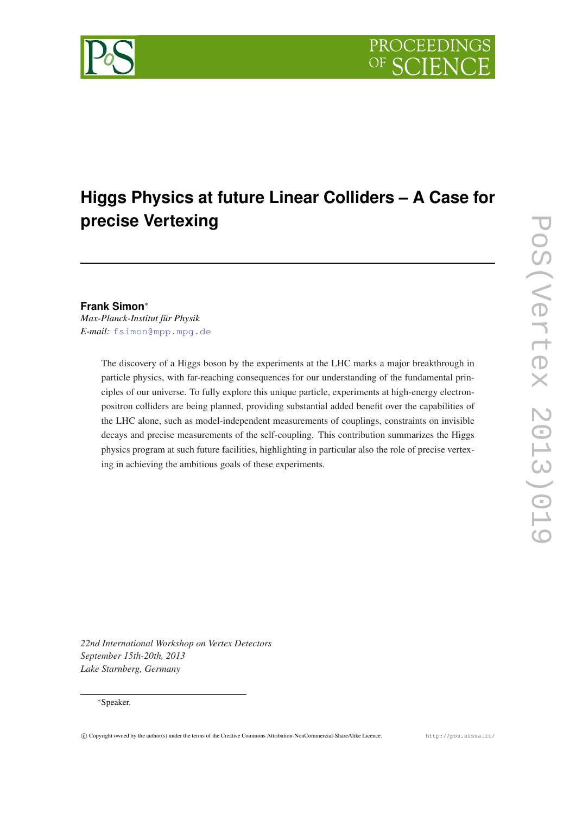

# **Higgs Physics at future Linear Colliders – A Case for precise Vertexing**

# **Frank Simon**<sup>∗</sup>

*Max-Planck-Institut für Physik E-mail:* [fsimon@mpp.mpg.de](mailto:fsimon@mpp.mpg.de)

> The discovery of a Higgs boson by the experiments at the LHC marks a major breakthrough in particle physics, with far-reaching consequences for our understanding of the fundamental principles of our universe. To fully explore this unique particle, experiments at high-energy electronpositron colliders are being planned, providing substantial added benefit over the capabilities of the LHC alone, such as model-independent measurements of couplings, constraints on invisible decays and precise measurements of the self-coupling. This contribution summarizes the Higgs physics program at such future facilities, highlighting in particular also the role of precise vertexing in achieving the ambitious goals of these experiments.

*22nd International Workshop on Vertex Detectors September 15th-20th, 2013 Lake Starnberg, Germany*

## <sup>∗</sup>Speaker.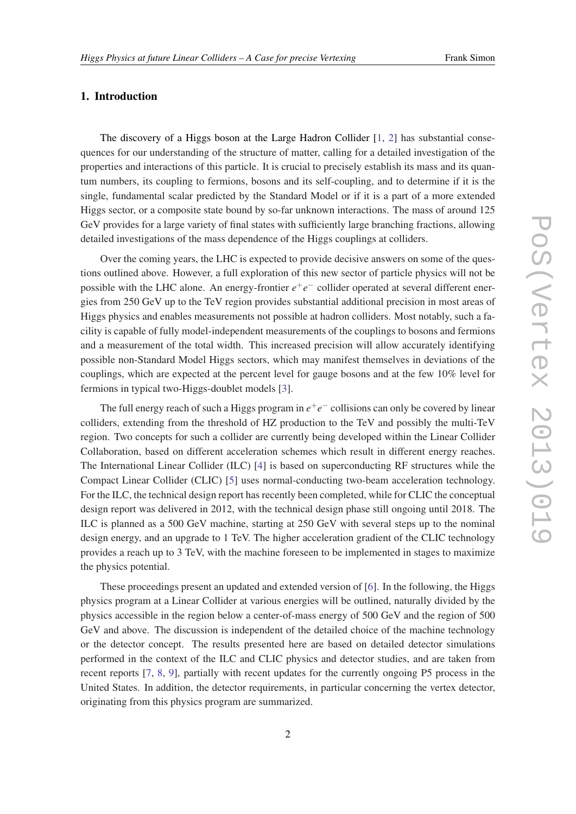# 1. Introduction

The discovery of a Higgs boson at the Large Hadron Collider [[1](#page-7-0), [2](#page-7-0)] has substantial consequences for our understanding of the structure of matter, calling for a detailed investigation of the properties and interactions of this particle. It is crucial to precisely establish its mass and its quantum numbers, its coupling to fermions, bosons and its self-coupling, and to determine if it is the single, fundamental scalar predicted by the Standard Model or if it is a part of a more extended Higgs sector, or a composite state bound by so-far unknown interactions. The mass of around 125 GeV provides for a large variety of final states with sufficiently large branching fractions, allowing detailed investigations of the mass dependence of the Higgs couplings at colliders.

Over the coming years, the LHC is expected to provide decisive answers on some of the questions outlined above. However, a full exploration of this new sector of particle physics will not be possible with the LHC alone. An energy-frontier  $e^+e^-$  collider operated at several different energies from 250 GeV up to the TeV region provides substantial additional precision in most areas of Higgs physics and enables measurements not possible at hadron colliders. Most notably, such a facility is capable of fully model-independent measurements of the couplings to bosons and fermions and a measurement of the total width. This increased precision will allow accurately identifying possible non-Standard Model Higgs sectors, which may manifest themselves in deviations of the couplings, which are expected at the percent level for gauge bosons and at the few 10% level for fermions in typical two-Higgs-doublet models [\[3\]](#page-7-0).

The full energy reach of such a Higgs program in  $e^+e^-$  collisions can only be covered by linear colliders, extending from the threshold of HZ production to the TeV and possibly the multi-TeV region. Two concepts for such a collider are currently being developed within the Linear Collider Collaboration, based on different acceleration schemes which result in different energy reaches. The International Linear Collider (ILC) [\[4\]](#page-7-0) is based on superconducting RF structures while the Compact Linear Collider (CLIC) [[5](#page-7-0)] uses normal-conducting two-beam acceleration technology. For the ILC, the technical design report has recently been completed, while for CLIC the conceptual design report was delivered in 2012, with the technical design phase still ongoing until 2018. The ILC is planned as a 500 GeV machine, starting at 250 GeV with several steps up to the nominal design energy, and an upgrade to 1 TeV. The higher acceleration gradient of the CLIC technology provides a reach up to 3 TeV, with the machine foreseen to be implemented in stages to maximize the physics potential.

These proceedings present an updated and extended version of [\[6\]](#page-7-0). In the following, the Higgs physics program at a Linear Collider at various energies will be outlined, naturally divided by the physics accessible in the region below a center-of-mass energy of 500 GeV and the region of 500 GeV and above. The discussion is independent of the detailed choice of the machine technology or the detector concept. The results presented here are based on detailed detector simulations performed in the context of the ILC and CLIC physics and detector studies, and are taken from recent reports [[7](#page-7-0), [8](#page-8-0), [9\]](#page-8-0), partially with recent updates for the currently ongoing P5 process in the United States. In addition, the detector requirements, in particular concerning the vertex detector, originating from this physics program are summarized.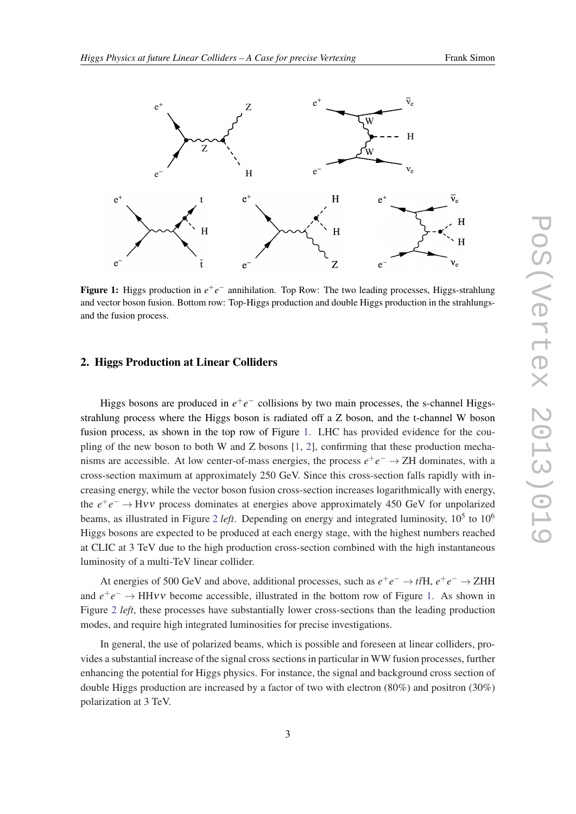

Figure 1: Higgs production in  $e^+e^-$  annihilation. Top Row: The two leading processes, Higgs-strahlung and the fusion process. and vector boson fusion. Bottom row: Top-Higgs production and double Higgs production in the strahlungs-

# 2. Higgs Production at Linear Colliders

Higgs bosons are produced in  $e^+e^-$  collisions by two main processes, the s-channel Higgsexpresses, the sections for the Boundary of the main processes, allow enable to be selected based of the intervals of the intervals of the intervals of the intervals of the intervals of the intervals of the intervals of th strahlung process where the Higgs boson is radiated off a Z boson, and the t-channel W boson fusion process, as shown in the top row of Figure 1. LHC has provided evidence for the co pling of the new boson to both W and Z bosons [1, [2\]](#page-7-0), confirming that these production mechanisms are accessible. At low center-of-mass energies, the process  $e^+e^- \rightarrow ZH$  dominates, with a  $t_{\text{max}}$  system movimum at announced in  $250 \text{ GeV}$ , these this anses section falls meight with strathlung cross section, regardless of the Higgs boson decay modes; it would be equal the Higgs boson of the Higgs boson of the Higgs boson of the Higgs boson of the Higgs boson of the Higgs boson of the Higgs boson of th creasing energy, while the vector boson fusion cross-section increases logarithmically with energy, the  $e^+e^- \rightarrow H\nu\nu$  process dominates at energies above approximately 450 GeV for unpolarized beams, as illustrated in Figure [2](#page-3-0) left. Depending on energy and integrated luminosity,  $10^5$  to  $10^6$ Higgs bosons are expected to be produced at each energy stage, with the highest numbers reached  $\frac{1}{\sqrt{10}}$  ratio into into invisible states as low as 1%. The precisions actions achievable on the Higgs-strahlung cross-strahlung cross-strahlung cross-strahlung cross-strahlung cross-strahlung cross-strahlung cross-s at CLIC at 3 TeV due to the high production cross-section combined with the high instantaneous luminosity of a multi-TeV linear collider. of two opposite charged in the tent mass of Tierre 1. THC has maxided evidence for the equilibrium mass consistent with  $\sigma$ . fusion process, as shown in the top row of Figure 1. LHC has provided evidence for the coucross-section maximum at approximately 250 GeV. Since this cross-section falls rapidly with inthe  $e^+e^- \rightarrow H\nu\nu$  process dominates at energies above approximately 450 GeV for unpolarized The recoil mass study provides an absolute measurement of the total ZH production cross section and

At energies of 500 GeV and above additional processes, such as  $e^+e^- \rightarrow t\bar{t}H$   $e^+e^- \rightarrow Z\bar{t}$ At energies of 500 GeV and above, additional processes, such as  $e^+e^- \to t\bar{t}H$ ,  $e^+e^- \to ZHH$ and  $e^+e^- \rightarrow HHVV$  become accessible, illustrated in the bottom row of Figure 1. As shown in Figure 2 left, these processes have substantially lower cross-sections than the leading production Higher Evilyon and the H isomethical and the H isomethical process can be separated.<br>
However, and require high integrated luminosities for precise investigations. modes, and require high integrated luminosities for precise investigations.

Neglecting the Higgs decays into light quarks, one can also infer the branching ratio of H ! gg. Table 3 In general, the use of polarized beams, which is possible and foreseen at linear colliders, provides a substantial increase of the signal cross sections in particular in WW fusion processes, further where a babbon matrix of the bignal visible bookship in particular in which wished provesses, cannot Prediction are increased by a factor of two with electron  $(80\%)$  and positron  $(30\%)$ enhancing the potential for Higgs physics. For instance, the signal and background cross section of double Higgs production are increased by a factor of two with electron (80%) and positron (30%) polarization at 3 TeV.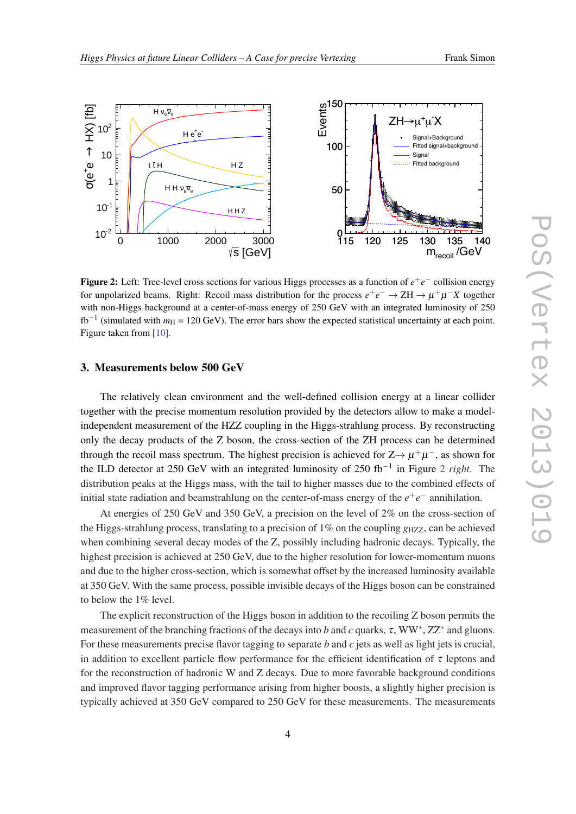

<span id="page-3-0"></span>

Figure 2: Left: Tree-level cross sections for various Higgs processes as a function of *e* +*e* <sup>−</sup> collision energy for unpolarized beams. Right: Recoil mass distribution for the process  $e^+e^- \to ZH \to \mu^+\mu^-X$  together with non-Higgs background at a center-of-mass energy of 250 GeV with an integrated luminosity of 250  $fb^{-1}$  (simulated with  $m_H = 120 \text{ GeV}$ ). The error bars show the expected statistical uncertainty at each point. Figure taken from [[10\]](#page-8-0).

## 3. Measurements below 500 GeV

The relatively clean environment and the well-defined collision energy at a linear collider together with the precise momentum resolution provided by the detectors allow to make a modelindependent measurement of the HZZ coupling in the Higgs-strahlung process. By reconstructing only the decay products of the Z boson, the cross-section of the ZH process can be determined through the recoil mass spectrum. The highest precision is achieved for  $Z \rightarrow \mu^+ \mu^-$ , as shown for the ILD detector at 250 GeV with an integrated luminosity of 250 fb−<sup>1</sup> in Figure 2 *right*. The distribution peaks at the Higgs mass, with the tail to higher masses due to the combined effects of initial state radiation and beamstrahlung on the center-of-mass energy of the  $e^+e^-$  annihilation.

At energies of 250 GeV and 350 GeV, a precision on the level of 2% on the cross-section of the Higgs-strahlung process, translating to a precision of  $1\%$  on the coupling  $g_{HZZ}$ , can be achieved when combining several decay modes of the Z, possibly including hadronic decays. Typically, the highest precision is achieved at 250 GeV, due to the higher resolution for lower-momentum muons and due to the higher cross-section, which is somewhat offset by the increased luminosity available at 350 GeV. With the same process, possible invisible decays of the Higgs boson can be constrained to below the 1% level.

The explicit reconstruction of the Higgs boson in addition to the recoiling Z boson permits the measurement of the branching fractions of the decays into *b* and *c* quarks, τ, WW<sup>\*</sup>, ZZ<sup>\*</sup> and gluons. For these measurements precise flavor tagging to separate *b* and *c* jets as well as light jets is crucial, in addition to excellent particle flow performance for the efficient identification of  $\tau$  leptons and for the reconstruction of hadronic W and Z decays. Due to more favorable background conditions and improved flavor tagging performance arising from higher boosts, a slightly higher precision is typically achieved at 350 GeV compared to 250 GeV for these measurements. The measurements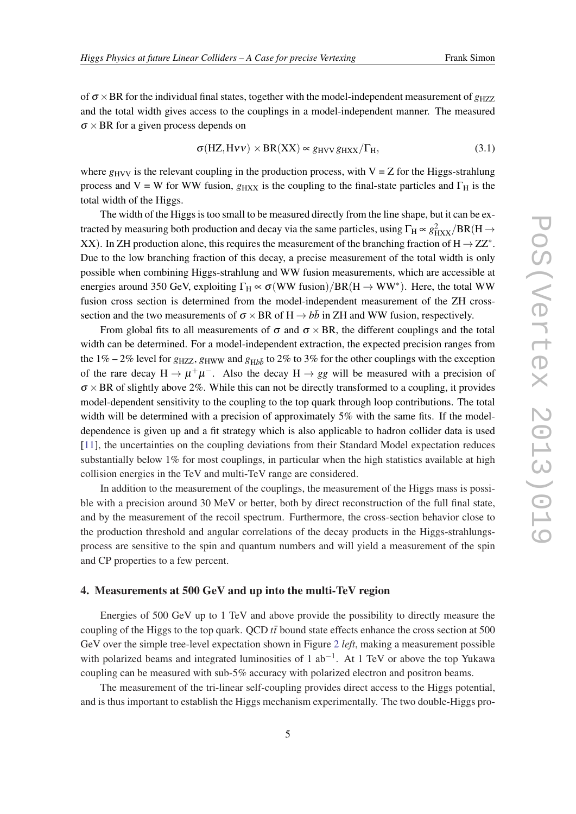of  $\sigma \times BR$  for the individual final states, together with the model-independent measurement of  $g_{HZZ}$ and the total width gives access to the couplings in a model-independent manner. The measured  $\sigma \times BR$  for a given process depends on

$$
\sigma(HZ, H\nu\nu) \times BR(XX) \propto g_{HVV} g_{HXX}/\Gamma_H,
$$
\n(3.1)

where  $g_{\text{HVV}}$  is the relevant coupling in the production process, with  $V = Z$  for the Higgs-strahlung process and V = W for WW fusion,  $g_{HXX}$  is the coupling to the final-state particles and  $\Gamma_H$  is the total width of the Higgs.

The width of the Higgs is too small to be measured directly from the line shape, but it can be extracted by measuring both production and decay via the same particles, using  $\Gamma_H \propto g_{HXX}^2/BR(H \to$ XX). In ZH production alone, this requires the measurement of the branching fraction of  $H \rightarrow ZZ^*$ . Due to the low branching fraction of this decay, a precise measurement of the total width is only possible when combining Higgs-strahlung and WW fusion measurements, which are accessible at energies around 350 GeV, exploiting  $\Gamma_H \propto \sigma(WW \text{ fusion})/BR(H \to WW^*)$ . Here, the total WW fusion cross section is determined from the model-independent measurement of the ZH crosssection and the two measurements of  $\sigma \times BR$  of  $H \rightarrow b\bar{b}$  in ZH and WW fusion, respectively.

From global fits to all measurements of  $\sigma$  and  $\sigma \times BR$ , the different couplings and the total width can be determined. For a model-independent extraction, the expected precision ranges from the 1% – 2% level for  $g_{HZZ}$ ,  $g_{HWW}$  and  $g_{Hb\bar{b}}$  to 2% to 3% for the other couplings with the exception of the rare decay  $H \to \mu^+\mu^-$ . Also the decay  $H \to gg$  will be measured with a precision of  $\sigma \times BR$  of slightly above 2%. While this can not be directly transformed to a coupling, it provides model-dependent sensitivity to the coupling to the top quark through loop contributions. The total width will be determined with a precision of approximately 5% with the same fits. If the modeldependence is given up and a fit strategy which is also applicable to hadron collider data is used [[11\]](#page-8-0), the uncertainties on the coupling deviations from their Standard Model expectation reduces substantially below 1% for most couplings, in particular when the high statistics available at high collision energies in the TeV and multi-TeV range are considered.

In addition to the measurement of the couplings, the measurement of the Higgs mass is possible with a precision around 30 MeV or better, both by direct reconstruction of the full final state, and by the measurement of the recoil spectrum. Furthermore, the cross-section behavior close to the production threshold and angular correlations of the decay products in the Higgs-strahlungsprocess are sensitive to the spin and quantum numbers and will yield a measurement of the spin and CP properties to a few percent.

## 4. Measurements at 500 GeV and up into the multi-TeV region

Energies of 500 GeV up to 1 TeV and above provide the possibility to directly measure the coupling of the Higgs to the top quark. QCD  $t\bar{t}$  bound state effects enhance the cross section at 500 GeV over the simple tree-level expectation shown in Figure [2](#page-3-0) *left*, making a measurement possible with polarized beams and integrated luminosities of 1 ab<sup>-1</sup>. At 1 TeV or above the top Yukawa coupling can be measured with sub-5% accuracy with polarized electron and positron beams.

The measurement of the tri-linear self-coupling provides direct access to the Higgs potential, and is thus important to establish the Higgs mechanism experimentally. The two double-Higgs pro-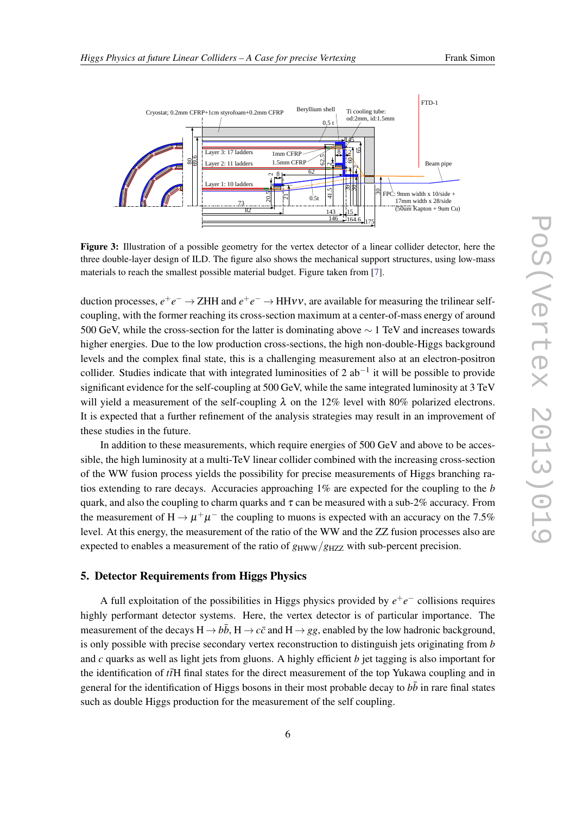

<span id="page-5-0"></span>

Figure 3: Illustration of a possible geometry for the vertex detector of a linear collider detector, here the three double-layer design of ILD. The figure also shows the mechanical support structures, using low-mass materials to reach the smallest possible material budget. Figure taken from [[7\]](#page-7-0).

duction processes,  $e^+e^- \to ZHH$  and  $e^+e^- \to HH\nu\nu$ , are available for measuring the trilinear selfcoupling, with the former reaching its cross-section maximum at a center-of-mass energy of around 500 GeV, while the cross-section for the latter is dominating above  $\sim$  1 TeV and increases towards higher energies. Due to the low production cross-sections, the high non-double-Higgs background levels and the complex final state, this is a challenging measurement also at an electron-positron collider. Studies indicate that with integrated luminosities of 2  $ab^{-1}$  it will be possible to provide significant evidence for the self-coupling at 500 GeV, while the same integrated luminosity at 3 TeV will yield a measurement of the self-coupling  $\lambda$  on the 12% level with 80% polarized electrons. It is expected that a further refinement of the analysis strategies may result in an improvement of these studies in the future.

In addition to these measurements, which require energies of 500 GeV and above to be accessible, the high luminosity at a multi-TeV linear collider combined with the increasing cross-section of the WW fusion process yields the possibility for precise measurements of Higgs branching ratios extending to rare decays. Accuracies approaching 1% are expected for the coupling to the *b* quark, and also the coupling to charm quarks and  $\tau$  can be measured with a sub-2% accuracy. From the measurement of H  $\rightarrow \mu^+\mu^-$  the coupling to muons is expected with an accuracy on the 7.5% level. At this energy, the measurement of the ratio of the WW and the ZZ fusion processes also are expected to enables a measurement of the ratio of  $g_{\text{HWW}}/g_{\text{HZZ}}$  with sub-percent precision.

# 5. Detector Requirements from Higgs Physics

A full exploitation of the possibilities in Higgs physics provided by *e* +*e* <sup>−</sup> collisions requires highly performant detector systems. Here, the vertex detector is of particular importance. The measurement of the decays  $H \rightarrow b\bar{b}$ ,  $H \rightarrow c\bar{c}$  and  $H \rightarrow gg$ , enabled by the low hadronic background, is only possible with precise secondary vertex reconstruction to distinguish jets originating from *b* and *c* quarks as well as light jets from gluons. A highly efficient *b* jet tagging is also important for the identification of *t*<sub>F</sub>H final states for the direct measurement of the top Yukawa coupling and in general for the identification of Higgs bosons in their most probable decay to  $b\bar{b}$  in rare final states such as double Higgs production for the measurement of the self coupling.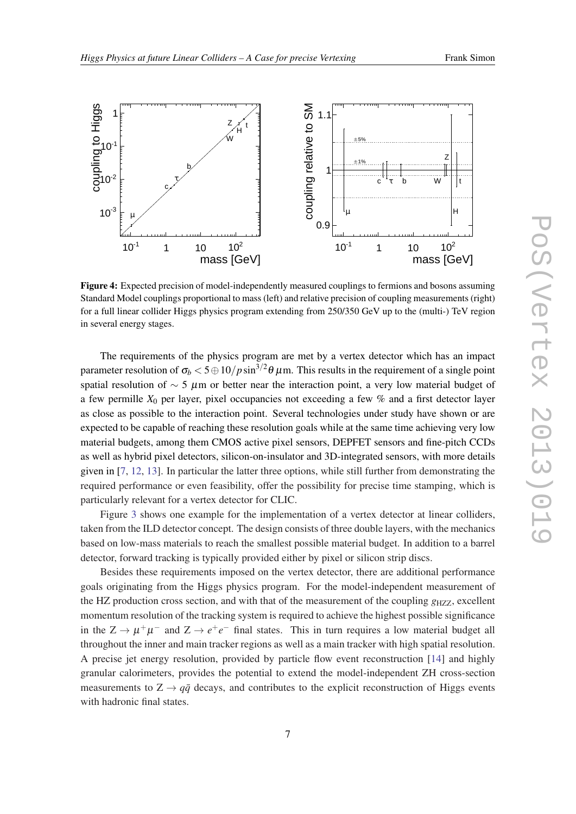<span id="page-6-0"></span>

Figure 4: Expected precision of model-independently measured couplings to fermions and bosons assuming Standard Model couplings proportional to mass (left) and relative precision of coupling measurements (right) for a full linear collider Higgs physics program extending from 250/350 GeV up to the (multi-) TeV region in several energy stages.

The requirements of the physics program are met by a vertex detector which has an impact parameter resolution of  $\sigma_b <$  5  $\oplus$  10/ $p\sin^{3/2}\theta$   $\mu$ m. This results in the requirement of a single point spatial resolution of  $\sim$  5  $\mu$ m or better near the interaction point, a very low material budget of a few permille *X*<sup>0</sup> per layer, pixel occupancies not exceeding a few % and a first detector layer as close as possible to the interaction point. Several technologies under study have shown or are expected to be capable of reaching these resolution goals while at the same time achieving very low material budgets, among them CMOS active pixel sensors, DEPFET sensors and fine-pitch CCDs as well as hybrid pixel detectors, silicon-on-insulator and 3D-integrated sensors, with more details given in [[7](#page-7-0), [12](#page-8-0), [13\]](#page-8-0). In particular the latter three options, while still further from demonstrating the required performance or even feasibility, offer the possibility for precise time stamping, which is particularly relevant for a vertex detector for CLIC.

Figure [3](#page-5-0) shows one example for the implementation of a vertex detector at linear colliders, taken from the ILD detector concept. The design consists of three double layers, with the mechanics based on low-mass materials to reach the smallest possible material budget. In addition to a barrel detector, forward tracking is typically provided either by pixel or silicon strip discs.

Besides these requirements imposed on the vertex detector, there are additional performance goals originating from the Higgs physics program. For the model-independent measurement of the HZ production cross section, and with that of the measurement of the coupling *g*<sub>HZZ</sub>, excellent momentum resolution of the tracking system is required to achieve the highest possible significance in the  $Z \to \mu^+\mu^-$  and  $Z \to e^+e^-$  final states. This in turn requires a low material budget all throughout the inner and main tracker regions as well as a main tracker with high spatial resolution. A precise jet energy resolution, provided by particle flow event reconstruction [\[14](#page-8-0)] and highly granular calorimeters, provides the potential to extend the model-independent ZH cross-section measurements to  $Z \rightarrow q\bar{q}$  decays, and contributes to the explicit reconstruction of Higgs events with hadronic final states.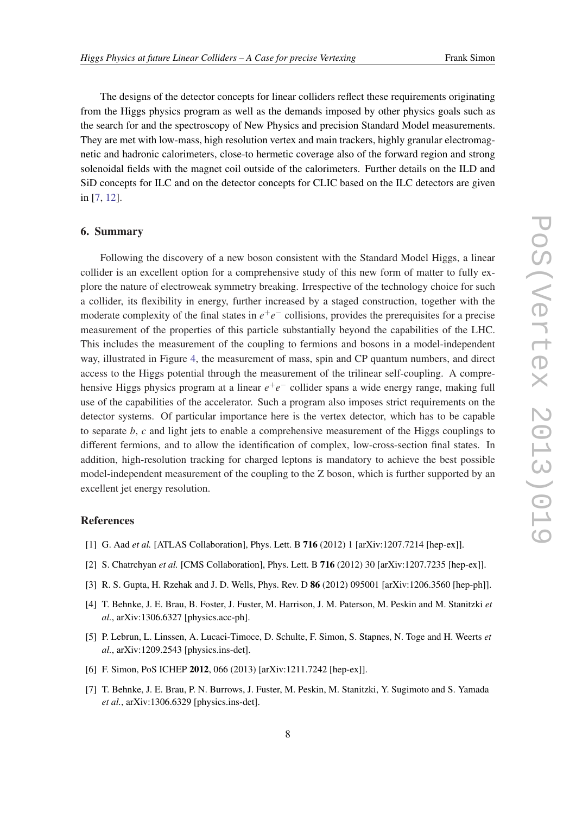<span id="page-7-0"></span>The designs of the detector concepts for linear colliders reflect these requirements originating from the Higgs physics program as well as the demands imposed by other physics goals such as the search for and the spectroscopy of New Physics and precision Standard Model measurements. They are met with low-mass, high resolution vertex and main trackers, highly granular electromagnetic and hadronic calorimeters, close-to hermetic coverage also of the forward region and strong solenoidal fields with the magnet coil outside of the calorimeters. Further details on the ILD and SiD concepts for ILC and on the detector concepts for CLIC based on the ILC detectors are given in [7, [12](#page-8-0)].

### 6. Summary

Following the discovery of a new boson consistent with the Standard Model Higgs, a linear collider is an excellent option for a comprehensive study of this new form of matter to fully explore the nature of electroweak symmetry breaking. Irrespective of the technology choice for such a collider, its flexibility in energy, further increased by a staged construction, together with the moderate complexity of the final states in  $e^+e^-$  collisions, provides the prerequisites for a precise measurement of the properties of this particle substantially beyond the capabilities of the LHC. This includes the measurement of the coupling to fermions and bosons in a model-independent way, illustrated in Figure [4](#page-6-0), the measurement of mass, spin and CP quantum numbers, and direct access to the Higgs potential through the measurement of the trilinear self-coupling. A comprehensive Higgs physics program at a linear  $e^+e^-$  collider spans a wide energy range, making full use of the capabilities of the accelerator. Such a program also imposes strict requirements on the detector systems. Of particular importance here is the vertex detector, which has to be capable to separate *b*, *c* and light jets to enable a comprehensive measurement of the Higgs couplings to different fermions, and to allow the identification of complex, low-cross-section final states. In addition, high-resolution tracking for charged leptons is mandatory to achieve the best possible model-independent measurement of the coupling to the Z boson, which is further supported by an excellent jet energy resolution.

## References

- [1] G. Aad *et al.* [ATLAS Collaboration], Phys. Lett. B **716** (2012) 1 [arXiv:1207.7214 [hep-ex]].
- [2] S. Chatrchyan *et al.* [CMS Collaboration], Phys. Lett. B 716 (2012) 30 [arXiv:1207.7235 [hep-ex]].
- [3] R. S. Gupta, H. Rzehak and J. D. Wells, Phys. Rev. D 86 (2012) 095001 [arXiv:1206.3560 [hep-ph]].
- [4] T. Behnke, J. E. Brau, B. Foster, J. Fuster, M. Harrison, J. M. Paterson, M. Peskin and M. Stanitzki *et al.*, arXiv:1306.6327 [physics.acc-ph].
- [5] P. Lebrun, L. Linssen, A. Lucaci-Timoce, D. Schulte, F. Simon, S. Stapnes, N. Toge and H. Weerts *et al.*, arXiv:1209.2543 [physics.ins-det].
- [6] F. Simon, PoS ICHEP 2012, 066 (2013) [arXiv:1211.7242 [hep-ex]].
- [7] T. Behnke, J. E. Brau, P. N. Burrows, J. Fuster, M. Peskin, M. Stanitzki, Y. Sugimoto and S. Yamada *et al.*, arXiv:1306.6329 [physics.ins-det].